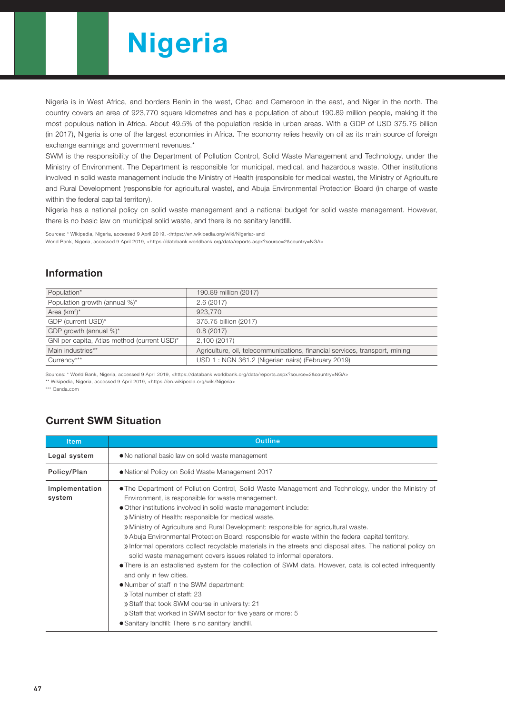# **Nigeria**

Nigeria is in West Africa, and borders Benin in the west, Chad and Cameroon in the east, and Niger in the north. The country covers an area of 923,770 square kilometres and has a population of about 190.89 million people, making it the most populous nation in Africa. About 49.5% of the population reside in urban areas. With a GDP of USD 375.75 billion (in 2017), Nigeria is one of the largest economies in Africa. The economy relies heavily on oil as its main source of foreign exchange earnings and government revenues.\*

SWM is the responsibility of the Department of Pollution Control, Solid Waste Management and Technology, under the Ministry of Environment. The Department is responsible for municipal, medical, and hazardous waste. Other institutions involved in solid waste management include the Ministry of Health (responsible for medical waste), the Ministry of Agriculture and Rural Development (responsible for agricultural waste), and Abuja Environmental Protection Board (in charge of waste within the federal capital territory).

Nigeria has a national policy on solid waste management and a national budget for solid waste management. However, there is no basic law on municipal solid waste, and there is no sanitary landfill.

Sources: \* Wikipedia, Nigeria, accessed 9 April 2019, <https://en.wikipedia.org/wiki/Nigeria> and

World Bank, Nigeria, accessed 9 April 2019, <https://databank.worldbank.org/data/reports.aspx?source=2&country=NGA>

#### Information

| Population*                                 | 190.89 million (2017)                                                       |
|---------------------------------------------|-----------------------------------------------------------------------------|
| Population growth (annual %)*               | 2.6(2017)                                                                   |
| Area $(km^2)^*$                             | 923,770                                                                     |
| GDP (current USD)*                          | 375.75 billion (2017)                                                       |
| GDP growth (annual %)*                      | 0.8(2017)                                                                   |
| GNI per capita, Atlas method (current USD)* | 2,100 (2017)                                                                |
| Main industries**                           | Agriculture, oil, telecommunications, financial services, transport, mining |
| Currency***                                 | USD 1: NGN 361.2 (Nigerian naira) (February 2019)                           |
|                                             |                                                                             |

Sources: \* World Bank, Nigeria, accessed 9 April 2019, <https://databank.worldbank.org/data/reports.aspx?source=2&country=NGA> \*\* Wikipedia, Nigeria, accessed 9 April 2019, <https://en.wikipedia.org/wiki/Nigeria>

\*\*\* Oanda.com

## Current SWM Situation

| <b>Item</b>              | Outline                                                                                                                                                                                                                                                                                                                                                                                                                                                                                                                                                                                                                                                                                                                                                                                                                                                                                                                                                                                                                                                             |  |  |  |  |  |
|--------------------------|---------------------------------------------------------------------------------------------------------------------------------------------------------------------------------------------------------------------------------------------------------------------------------------------------------------------------------------------------------------------------------------------------------------------------------------------------------------------------------------------------------------------------------------------------------------------------------------------------------------------------------------------------------------------------------------------------------------------------------------------------------------------------------------------------------------------------------------------------------------------------------------------------------------------------------------------------------------------------------------------------------------------------------------------------------------------|--|--|--|--|--|
| Legal system             | • No national basic law on solid waste management                                                                                                                                                                                                                                                                                                                                                                                                                                                                                                                                                                                                                                                                                                                                                                                                                                                                                                                                                                                                                   |  |  |  |  |  |
| Policy/Plan              | • National Policy on Solid Waste Management 2017                                                                                                                                                                                                                                                                                                                                                                                                                                                                                                                                                                                                                                                                                                                                                                                                                                                                                                                                                                                                                    |  |  |  |  |  |
| Implementation<br>system | • The Department of Pollution Control, Solid Waste Management and Technology, under the Ministry of<br>Environment, is responsible for waste management.<br>• Other institutions involved in solid waste management include:<br>» Ministry of Health: responsible for medical waste.<br>» Ministry of Agriculture and Rural Development: responsible for agricultural waste.<br>» Abuja Environmental Protection Board: responsible for waste within the federal capital territory.<br>» Informal operators collect recyclable materials in the streets and disposal sites. The national policy on<br>solid waste management covers issues related to informal operators.<br>• There is an established system for the collection of SWM data. However, data is collected infrequently<br>and only in few cities.<br>• Number of staff in the SWM department:<br>» Total number of staff: 23<br>» Staff that took SWM course in university: 21<br>» Staff that worked in SWM sector for five years or more: 5<br>• Sanitary landfill: There is no sanitary landfill. |  |  |  |  |  |